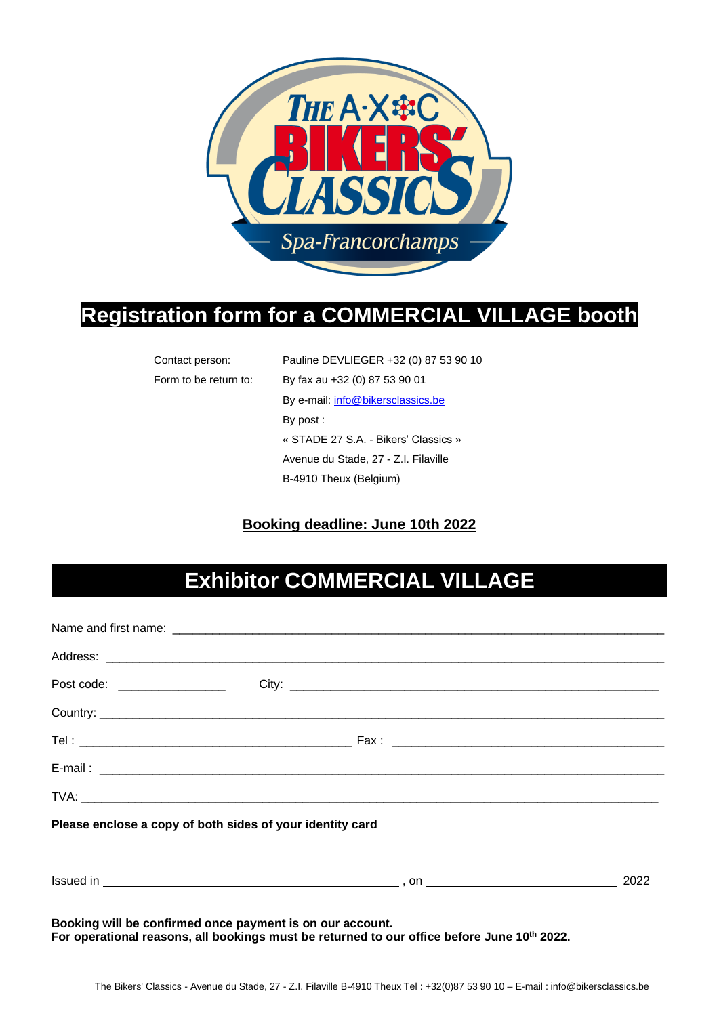

## **Registration form for a COMMERCIAL VILLAGE booth**

| Contact person:       | Pauline DEVLIEGER +32 (0) 87 53 90 10 |  |
|-----------------------|---------------------------------------|--|
| Form to be return to: | By fax au +32 (0) 87 53 90 01         |  |
|                       | By e-mail: info@bikersclassics.be     |  |
|                       | By $post:$                            |  |
|                       | « STADE 27 S.A. - Bikers' Classics »  |  |
|                       | Avenue du Stade, 27 - Z.I. Filaville  |  |
|                       | B-4910 Theux (Belgium)                |  |

#### **Booking deadline: June 10th 2022**

# **Exhibitor COMMERCIAL VILLAGE**

| Please enclose a copy of both sides of your identity card |  |  |
|-----------------------------------------------------------|--|--|
|                                                           |  |  |
| Booking will be confirmed once payment is on our account. |  |  |

**For operational reasons, all bookings must be returned to our office before June 10 th 2022.**